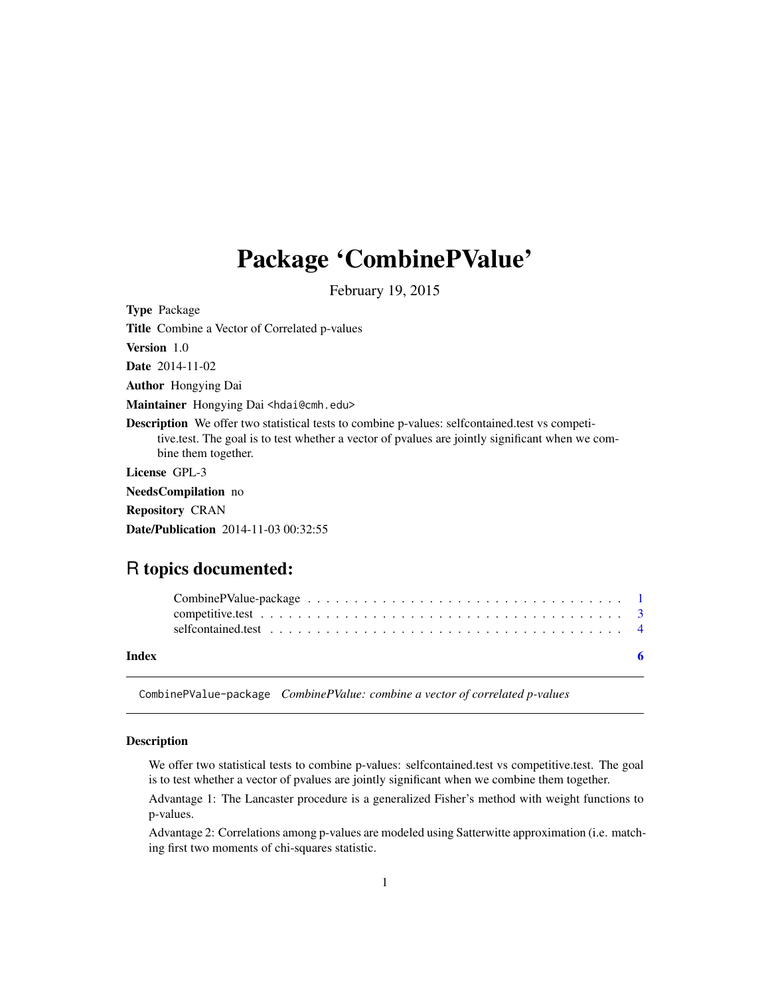# <span id="page-0-0"></span>Package 'CombinePValue'

February 19, 2015

Type Package Title Combine a Vector of Correlated p-values Version 1.0 Date 2014-11-02 Author Hongying Dai Maintainer Hongying Dai <hdai@cmh.edu> Description We offer two statistical tests to combine p-values: selfcontained.test vs competitive.test. The goal is to test whether a vector of pvalues are jointly significant when we combine them together. License GPL-3 NeedsCompilation no Repository CRAN Date/Publication 2014-11-03 00:32:55

## R topics documented:

| Index |  |  |  |  |  |  |  |  |  |  |  |  |  |  |  |
|-------|--|--|--|--|--|--|--|--|--|--|--|--|--|--|--|
|       |  |  |  |  |  |  |  |  |  |  |  |  |  |  |  |
|       |  |  |  |  |  |  |  |  |  |  |  |  |  |  |  |

CombinePValue-package *CombinePValue: combine a vector of correlated p-values*

#### Description

We offer two statistical tests to combine p-values: selfcontained.test vs competitive.test. The goal is to test whether a vector of pvalues are jointly significant when we combine them together.

Advantage 1: The Lancaster procedure is a generalized Fisher's method with weight functions to p-values.

Advantage 2: Correlations among p-values are modeled using Satterwitte approximation (i.e. matching first two moments of chi-squares statistic.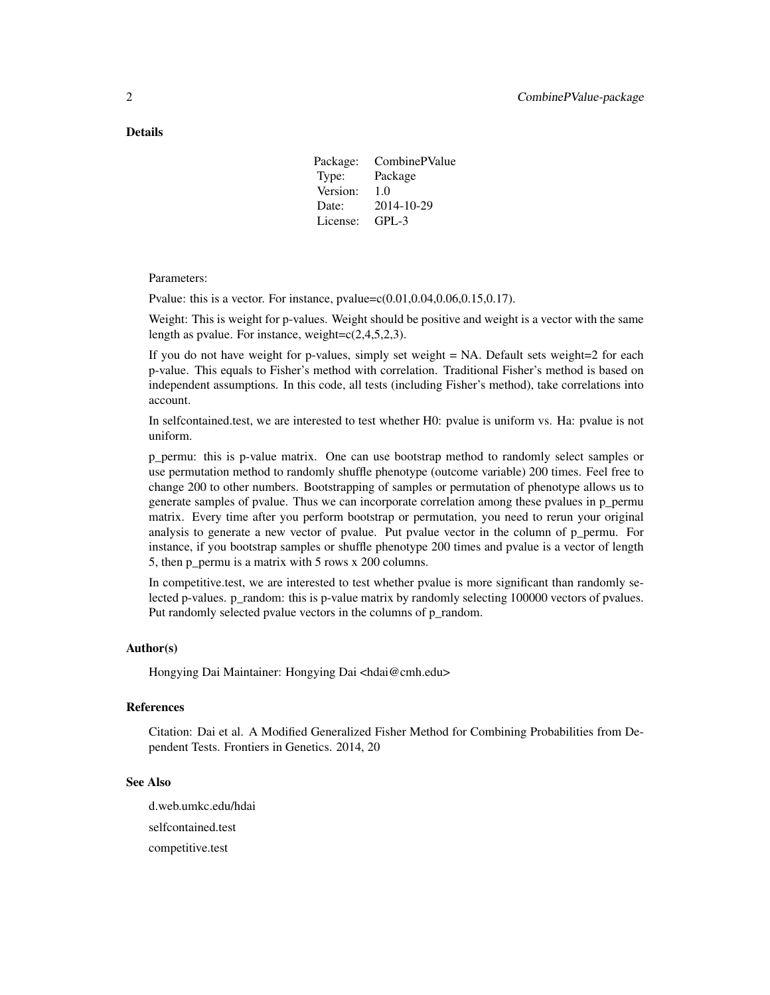#### Details

Package: CombinePValue Type: Package Version: 1.0 Date: 2014-10-29 License: GPL-3

Parameters:

Pvalue: this is a vector. For instance,  $pvalue = c(0.01, 0.04, 0.06, 0.15, 0.17)$ .

Weight: This is weight for p-values. Weight should be positive and weight is a vector with the same length as pvalue. For instance, weight= $c(2,4,5,2,3)$ .

If you do not have weight for p-values, simply set weight  $= NA$ . Default sets weight $=2$  for each p-value. This equals to Fisher's method with correlation. Traditional Fisher's method is based on independent assumptions. In this code, all tests (including Fisher's method), take correlations into account.

In selfcontained.test, we are interested to test whether H0: pvalue is uniform vs. Ha: pvalue is not uniform.

p\_permu: this is p-value matrix. One can use bootstrap method to randomly select samples or use permutation method to randomly shuffle phenotype (outcome variable) 200 times. Feel free to change 200 to other numbers. Bootstrapping of samples or permutation of phenotype allows us to generate samples of pvalue. Thus we can incorporate correlation among these pvalues in p\_permu matrix. Every time after you perform bootstrap or permutation, you need to rerun your original analysis to generate a new vector of pvalue. Put pvalue vector in the column of p\_permu. For instance, if you bootstrap samples or shuffle phenotype 200 times and pvalue is a vector of length 5, then p\_permu is a matrix with 5 rows x 200 columns.

In competitive.test, we are interested to test whether pvalue is more significant than randomly selected p-values. p\_random: this is p-value matrix by randomly selecting 100000 vectors of pvalues. Put randomly selected pvalue vectors in the columns of p\_random.

#### Author(s)

Hongying Dai Maintainer: Hongying Dai <hdai@cmh.edu>

#### References

Citation: Dai et al. A Modified Generalized Fisher Method for Combining Probabilities from Dependent Tests. Frontiers in Genetics. 2014, 20

#### See Also

d.web.umkc.edu/hdai selfcontained.test competitive.test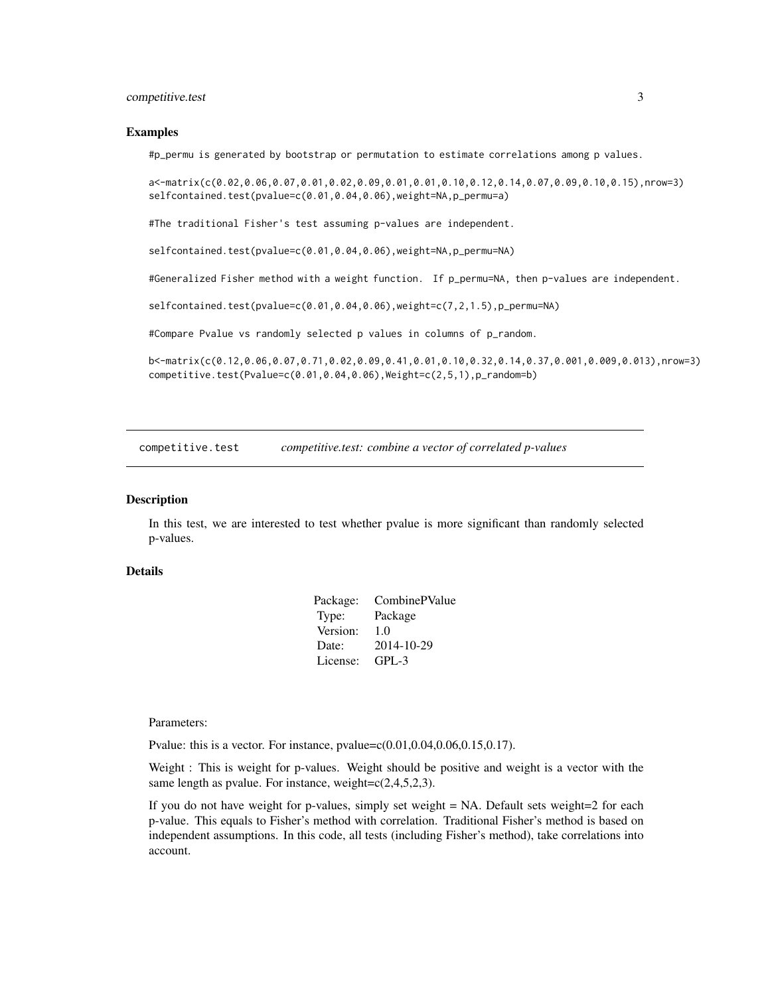#### <span id="page-2-0"></span>competitive.test 3

#### Examples

#p\_permu is generated by bootstrap or permutation to estimate correlations among p values.

a<-matrix(c(0.02,0.06,0.07,0.01,0.02,0.09,0.01,0.01,0.10,0.12,0.14,0.07,0.09,0.10,0.15),nrow=3) selfcontained.test(pvalue=c(0.01,0.04,0.06),weight=NA,p\_permu=a)

#The traditional Fisher's test assuming p-values are independent.

selfcontained.test(pvalue=c(0.01,0.04,0.06),weight=NA,p\_permu=NA)

#Generalized Fisher method with a weight function. If p\_permu=NA, then p-values are independent.

selfcontained.test(pvalue=c(0.01,0.04,0.06),weight=c(7,2,1.5),p\_permu=NA)

#Compare Pvalue vs randomly selected p values in columns of p\_random.

b<-matrix(c(0.12,0.06,0.07,0.71,0.02,0.09,0.41,0.01,0.10,0.32,0.14,0.37,0.001,0.009,0.013),nrow=3) competitive.test(Pvalue=c(0.01,0.04,0.06),Weight=c(2,5,1),p\_random=b)

competitive.test *competitive.test: combine a vector of correlated p-values*

#### **Description**

In this test, we are interested to test whether pvalue is more significant than randomly selected p-values.

#### Details

| Package: | CombinePValue |
|----------|---------------|
| Type:    | Package       |
| Version: | 1.0           |
| Date:    | 2014-10-29    |
| License: | $GPI - 3$     |

Parameters:

Pvalue: this is a vector. For instance,  $pvalue = c(0.01, 0.04, 0.06, 0.15, 0.17)$ .

Weight : This is weight for p-values. Weight should be positive and weight is a vector with the same length as pvalue. For instance, weight= $c(2,4,5,2,3)$ .

If you do not have weight for p-values, simply set weight = NA. Default sets weight=2 for each p-value. This equals to Fisher's method with correlation. Traditional Fisher's method is based on independent assumptions. In this code, all tests (including Fisher's method), take correlations into account.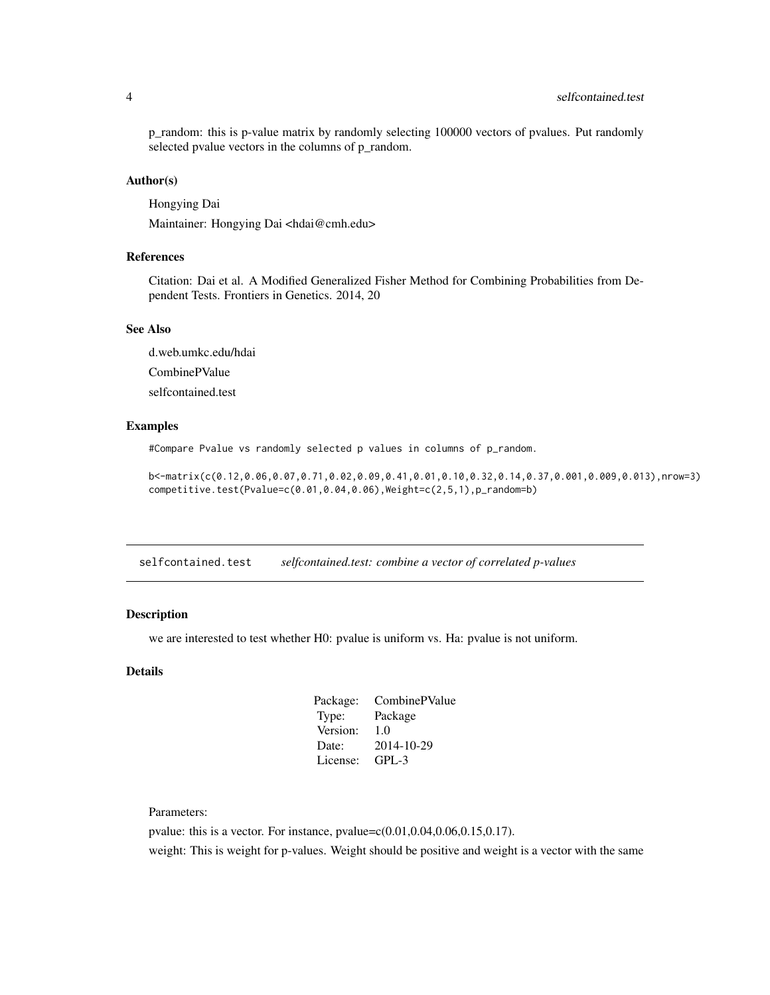#### <span id="page-3-0"></span>4 selfcontained.test

p\_random: this is p-value matrix by randomly selecting 100000 vectors of pvalues. Put randomly selected pvalue vectors in the columns of p\_random.

#### Author(s)

Hongying Dai

Maintainer: Hongying Dai <hdai@cmh.edu>

#### References

Citation: Dai et al. A Modified Generalized Fisher Method for Combining Probabilities from Dependent Tests. Frontiers in Genetics. 2014, 20

#### See Also

d.web.umkc.edu/hdai

CombinePValue

selfcontained.test

#### Examples

#Compare Pvalue vs randomly selected p values in columns of p\_random.

b<-matrix(c(0.12,0.06,0.07,0.71,0.02,0.09,0.41,0.01,0.10,0.32,0.14,0.37,0.001,0.009,0.013),nrow=3) competitive.test(Pvalue=c(0.01,0.04,0.06),Weight=c(2,5,1),p\_random=b)

selfcontained.test *selfcontained.test: combine a vector of correlated p-values*

### Description

we are interested to test whether H0: pvalue is uniform vs. Ha: pvalue is not uniform.

#### Details

| Package: | CombinePValue |
|----------|---------------|
| Type:    | Package       |
| Version: | 1.0           |
| Date:    | 2014-10-29    |
| License: | $GPI - 3$     |
|          |               |

Parameters:

pvalue: this is a vector. For instance, pvalue=c(0.01,0.04,0.06,0.15,0.17). weight: This is weight for p-values. Weight should be positive and weight is a vector with the same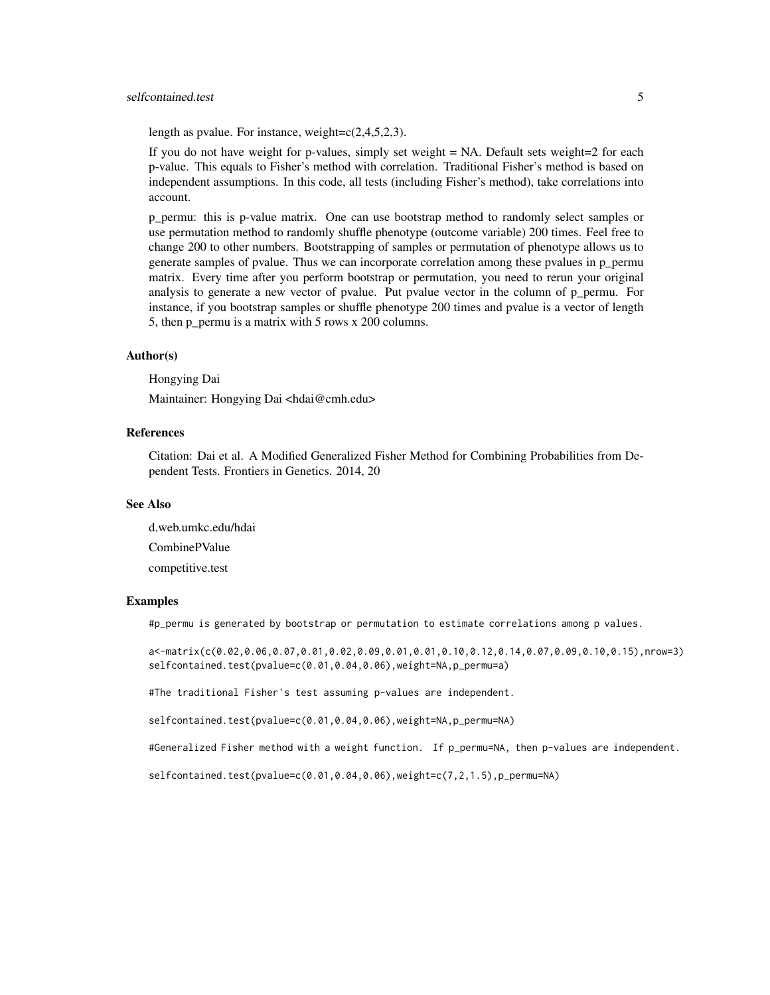#### selfcontained.test 5

length as pvalue. For instance, weight= $c(2,4,5,2,3)$ .

If you do not have weight for p-values, simply set weight = NA. Default sets weight=2 for each p-value. This equals to Fisher's method with correlation. Traditional Fisher's method is based on independent assumptions. In this code, all tests (including Fisher's method), take correlations into account.

p\_permu: this is p-value matrix. One can use bootstrap method to randomly select samples or use permutation method to randomly shuffle phenotype (outcome variable) 200 times. Feel free to change 200 to other numbers. Bootstrapping of samples or permutation of phenotype allows us to generate samples of pvalue. Thus we can incorporate correlation among these pvalues in p\_permu matrix. Every time after you perform bootstrap or permutation, you need to rerun your original analysis to generate a new vector of pvalue. Put pvalue vector in the column of p\_permu. For instance, if you bootstrap samples or shuffle phenotype 200 times and pvalue is a vector of length 5, then p permu is a matrix with 5 rows x  $200$  columns.

#### Author(s)

Hongying Dai

Maintainer: Hongying Dai <hdai@cmh.edu>

#### References

Citation: Dai et al. A Modified Generalized Fisher Method for Combining Probabilities from Dependent Tests. Frontiers in Genetics. 2014, 20

#### See Also

d.web.umkc.edu/hdai CombinePValue competitive.test

#### Examples

#p\_permu is generated by bootstrap or permutation to estimate correlations among p values.

a<-matrix(c(0.02,0.06,0.07,0.01,0.02,0.09,0.01,0.01,0.10,0.12,0.14,0.07,0.09,0.10,0.15),nrow=3) selfcontained.test(pvalue=c(0.01,0.04,0.06),weight=NA,p\_permu=a)

#The traditional Fisher's test assuming p-values are independent.

selfcontained.test(pvalue=c(0.01,0.04,0.06),weight=NA,p\_permu=NA)

#Generalized Fisher method with a weight function. If p\_permu=NA, then p-values are independent.

selfcontained.test(pvalue=c( $0.01, 0.04, 0.06$ ),weight=c( $7, 2, 1.5$ ),p\_permu=NA)